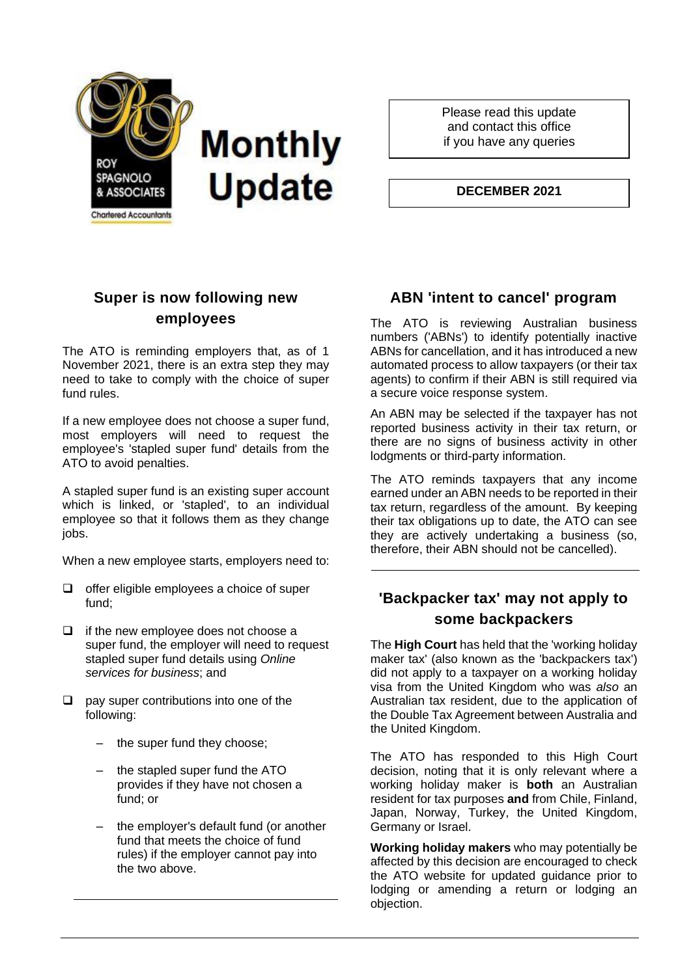

Please read this update and contact this office if you have any queries

**DECEMBER 2021**

# **Super is now following new employees**

The ATO is reminding employers that, as of 1 November 2021, there is an extra step they may need to take to comply with the choice of super fund rules.

If a new employee does not choose a super fund, most employers will need to request the employee's 'stapled super fund' details from the ATO to avoid penalties.

A stapled super fund is an existing super account which is linked, or 'stapled', to an individual employee so that it follows them as they change jobs.

When a new employee starts, employers need to:

- ❑ offer eligible employees a choice of super fund;
- ❑ if the new employee does not choose a super fund, the employer will need to request stapled super fund details using *Online services for business*; and
- ❑ pay super contributions into one of the following:
	- the super fund they choose;
	- the stapled super fund the ATO provides if they have not chosen a fund; or
	- the employer's default fund (or another fund that meets the choice of fund rules) if the employer cannot pay into the two above.

# **ABN 'intent to cancel' program**

The ATO is reviewing Australian business numbers ('ABNs') to identify potentially inactive ABNs for cancellation, and it has introduced a new automated process to allow taxpayers (or their tax agents) to confirm if their ABN is still required via a secure voice response system.

An ABN may be selected if the taxpayer has not reported business activity in their tax return, or there are no signs of business activity in other lodgments or third-party information.

The ATO reminds taxpayers that any income earned under an ABN needs to be reported in their tax return, regardless of the amount. By keeping their tax obligations up to date, the ATO can see they are actively undertaking a business (so, therefore, their ABN should not be cancelled).

# **'Backpacker tax' may not apply to some backpackers**

The **High Court** has held that the 'working holiday maker tax' (also known as the 'backpackers tax') did not apply to a taxpayer on a working holiday visa from the United Kingdom who was *also* an Australian tax resident, due to the application of the Double Tax Agreement between Australia and the United Kingdom.

The ATO has responded to this High Court decision, noting that it is only relevant where a working holiday maker is **both** an Australian resident for tax purposes **and** from Chile, Finland, Japan, Norway, Turkey, the United Kingdom, Germany or Israel.

**Working holiday makers** who may potentially be affected by this decision are encouraged to check the ATO website for updated guidance prior to lodging or amending a return or lodging an objection.